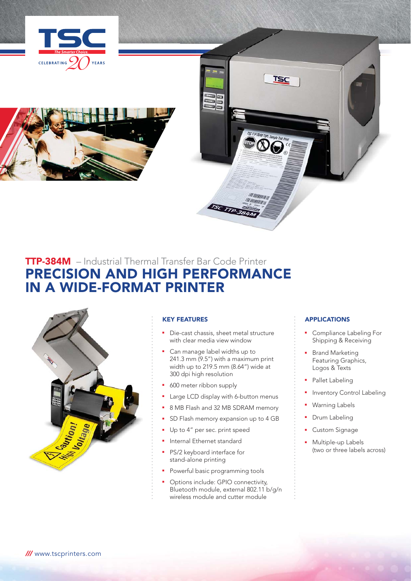



# TTP-384M – Industrial Thermal Transfer Bar Code Printer PRECISION AND HIGH PERFORMANCE IN A WIDE-FORMAT PRINTER



# KEY FEATURES

- Die-cast chassis, sheet metal structure with clear media view window
- Can manage label widths up to 241.3 mm (9.5") with a maximum print width up to 219.5 mm (8.64") wide at 300 dpi high resolution
- 600 meter ribbon supply
- Large LCD display with 6-button menus
- 8 MB Flash and 32 MB SDRAM memory
- SD Flash memory expansion up to 4 GB
- Up to 4" per sec. print speed
- **•** Internal Ethernet standard
- **PS/2 keyboard interface for** stand-alone printing
- Powerful basic programming tools
- Options include: GPIO connectivity, Bluetooth module, external 802.11 b/g/n wireless module and cutter module

# APPLICATIONS

TSC

*HIMMINI* 

- Compliance Labeling For Shipping & Receiving
- **Brand Marketing**  Featuring Graphics, Logos & Texts
- Pallet Labeling
- Inventory Control Labeling
- Warning Labels
- Drum Labeling
- Custom Signage
- Multiple-up Labels (two or three labels across)